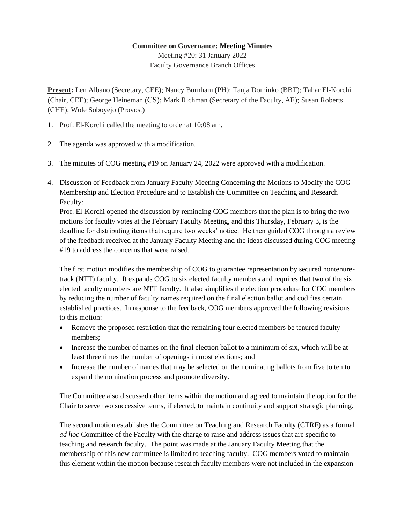## **Committee on Governance: Meeting Minutes**

Meeting #20: 31 January 2022 Faculty Governance Branch Offices

**Present:** Len Albano (Secretary, CEE); Nancy Burnham (PH); Tanja Dominko (BBT); Tahar El-Korchi (Chair, CEE); George Heineman (CS); Mark Richman (Secretary of the Faculty, AE); Susan Roberts (CHE); Wole Soboyejo (Provost)

- 1. Prof. El-Korchi called the meeting to order at 10:08 am.
- 2. The agenda was approved with a modification.
- 3. The minutes of COG meeting #19 on January 24, 2022 were approved with a modification.
- 4. Discussion of Feedback from January Faculty Meeting Concerning the Motions to Modify the COG Membership and Election Procedure and to Establish the Committee on Teaching and Research Faculty:

Prof. El-Korchi opened the discussion by reminding COG members that the plan is to bring the two motions for faculty votes at the February Faculty Meeting, and this Thursday, February 3, is the deadline for distributing items that require two weeks' notice. He then guided COG through a review of the feedback received at the January Faculty Meeting and the ideas discussed during COG meeting #19 to address the concerns that were raised.

The first motion modifies the membership of COG to guarantee representation by secured nontenuretrack (NTT) faculty. It expands COG to six elected faculty members and requires that two of the six elected faculty members are NTT faculty. It also simplifies the election procedure for COG members by reducing the number of faculty names required on the final election ballot and codifies certain established practices. In response to the feedback, COG members approved the following revisions to this motion:

- Remove the proposed restriction that the remaining four elected members be tenured faculty members;
- Increase the number of names on the final election ballot to a minimum of six, which will be at least three times the number of openings in most elections; and
- Increase the number of names that may be selected on the nominating ballots from five to ten to expand the nomination process and promote diversity.

The Committee also discussed other items within the motion and agreed to maintain the option for the Chair to serve two successive terms, if elected, to maintain continuity and support strategic planning.

The second motion establishes the Committee on Teaching and Research Faculty (CTRF) as a formal *ad hoc* Committee of the Faculty with the charge to raise and address issues that are specific to teaching and research faculty. The point was made at the January Faculty Meeting that the membership of this new committee is limited to teaching faculty. COG members voted to maintain this element within the motion because research faculty members were not included in the expansion